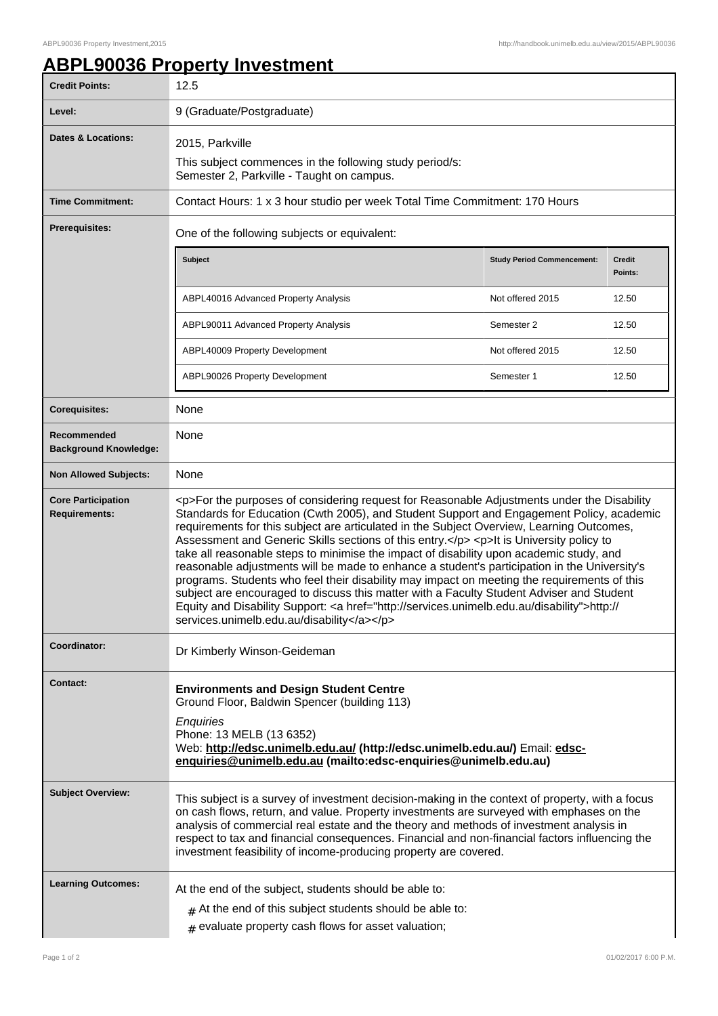## **ABPL90036 Property Investment**

| <b>Credit Points:</b>                             | 12.5                                                                                                                                                                                                                                                                                                                                                                                                                                                                                                                                                                                                                                                                                                                                                                                                                                                                                                                         |                                   |                          |
|---------------------------------------------------|------------------------------------------------------------------------------------------------------------------------------------------------------------------------------------------------------------------------------------------------------------------------------------------------------------------------------------------------------------------------------------------------------------------------------------------------------------------------------------------------------------------------------------------------------------------------------------------------------------------------------------------------------------------------------------------------------------------------------------------------------------------------------------------------------------------------------------------------------------------------------------------------------------------------------|-----------------------------------|--------------------------|
| Level:                                            | 9 (Graduate/Postgraduate)                                                                                                                                                                                                                                                                                                                                                                                                                                                                                                                                                                                                                                                                                                                                                                                                                                                                                                    |                                   |                          |
| <b>Dates &amp; Locations:</b>                     | 2015, Parkville<br>This subject commences in the following study period/s:<br>Semester 2, Parkville - Taught on campus.                                                                                                                                                                                                                                                                                                                                                                                                                                                                                                                                                                                                                                                                                                                                                                                                      |                                   |                          |
| <b>Time Commitment:</b>                           | Contact Hours: 1 x 3 hour studio per week Total Time Commitment: 170 Hours                                                                                                                                                                                                                                                                                                                                                                                                                                                                                                                                                                                                                                                                                                                                                                                                                                                   |                                   |                          |
| <b>Prerequisites:</b>                             | One of the following subjects or equivalent:                                                                                                                                                                                                                                                                                                                                                                                                                                                                                                                                                                                                                                                                                                                                                                                                                                                                                 |                                   |                          |
|                                                   | <b>Subject</b>                                                                                                                                                                                                                                                                                                                                                                                                                                                                                                                                                                                                                                                                                                                                                                                                                                                                                                               | <b>Study Period Commencement:</b> | <b>Credit</b><br>Points: |
|                                                   | ABPL40016 Advanced Property Analysis                                                                                                                                                                                                                                                                                                                                                                                                                                                                                                                                                                                                                                                                                                                                                                                                                                                                                         | Not offered 2015                  | 12.50                    |
|                                                   | ABPL90011 Advanced Property Analysis                                                                                                                                                                                                                                                                                                                                                                                                                                                                                                                                                                                                                                                                                                                                                                                                                                                                                         | Semester 2                        | 12.50                    |
|                                                   | ABPL40009 Property Development                                                                                                                                                                                                                                                                                                                                                                                                                                                                                                                                                                                                                                                                                                                                                                                                                                                                                               | Not offered 2015                  | 12.50                    |
|                                                   | ABPL90026 Property Development                                                                                                                                                                                                                                                                                                                                                                                                                                                                                                                                                                                                                                                                                                                                                                                                                                                                                               | Semester 1                        | 12.50                    |
| <b>Corequisites:</b>                              | None                                                                                                                                                                                                                                                                                                                                                                                                                                                                                                                                                                                                                                                                                                                                                                                                                                                                                                                         |                                   |                          |
| Recommended<br><b>Background Knowledge:</b>       | None                                                                                                                                                                                                                                                                                                                                                                                                                                                                                                                                                                                                                                                                                                                                                                                                                                                                                                                         |                                   |                          |
| <b>Non Allowed Subjects:</b>                      | None                                                                                                                                                                                                                                                                                                                                                                                                                                                                                                                                                                                                                                                                                                                                                                                                                                                                                                                         |                                   |                          |
| <b>Core Participation</b><br><b>Requirements:</b> | <p>For the purposes of considering request for Reasonable Adjustments under the Disability<br/>Standards for Education (Cwth 2005), and Student Support and Engagement Policy, academic<br/>requirements for this subject are articulated in the Subject Overview, Learning Outcomes,<br/>Assessment and Generic Skills sections of this entry.</p> <p>lt is University policy to<br/>take all reasonable steps to minimise the impact of disability upon academic study, and<br/>reasonable adjustments will be made to enhance a student's participation in the University's<br/>programs. Students who feel their disability may impact on meeting the requirements of this<br/>subject are encouraged to discuss this matter with a Faculty Student Adviser and Student<br/>Equity and Disability Support: &lt; a href="http://services.unimelb.edu.au/disability"&gt;http://<br/>services.unimelb.edu.au/disability</p> |                                   |                          |
| Coordinator:                                      | Dr Kimberly Winson-Geideman                                                                                                                                                                                                                                                                                                                                                                                                                                                                                                                                                                                                                                                                                                                                                                                                                                                                                                  |                                   |                          |
| Contact:                                          | <b>Environments and Design Student Centre</b><br>Ground Floor, Baldwin Spencer (building 113)<br>Enquiries<br>Phone: 13 MELB (13 6352)<br>Web: http://edsc.unimelb.edu.au/ (http://edsc.unimelb.edu.au/) Email: edsc-<br>enquiries@unimelb.edu.au (mailto:edsc-enquiries@unimelb.edu.au)                                                                                                                                                                                                                                                                                                                                                                                                                                                                                                                                                                                                                                     |                                   |                          |
| <b>Subject Overview:</b>                          | This subject is a survey of investment decision-making in the context of property, with a focus<br>on cash flows, return, and value. Property investments are surveyed with emphases on the<br>analysis of commercial real estate and the theory and methods of investment analysis in<br>respect to tax and financial consequences. Financial and non-financial factors influencing the<br>investment feasibility of income-producing property are covered.                                                                                                                                                                                                                                                                                                                                                                                                                                                                 |                                   |                          |
| <b>Learning Outcomes:</b>                         | At the end of the subject, students should be able to:                                                                                                                                                                                                                                                                                                                                                                                                                                                                                                                                                                                                                                                                                                                                                                                                                                                                       |                                   |                          |
|                                                   | $#$ At the end of this subject students should be able to:<br>$#$ evaluate property cash flows for asset valuation;                                                                                                                                                                                                                                                                                                                                                                                                                                                                                                                                                                                                                                                                                                                                                                                                          |                                   |                          |